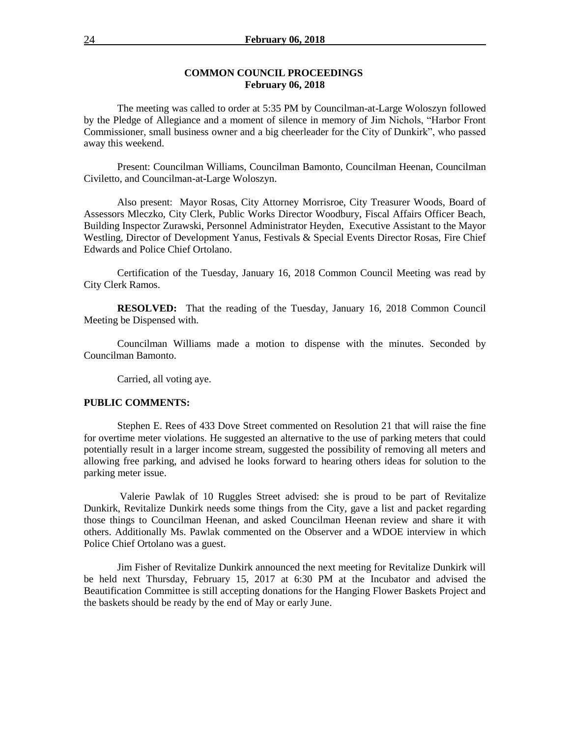#### **COMMON COUNCIL PROCEEDINGS February 06, 2018**

The meeting was called to order at 5:35 PM by Councilman-at-Large Woloszyn followed by the Pledge of Allegiance and a moment of silence in memory of Jim Nichols, "Harbor Front Commissioner, small business owner and a big cheerleader for the City of Dunkirk", who passed away this weekend.

Present: Councilman Williams, Councilman Bamonto, Councilman Heenan, Councilman Civiletto, and Councilman-at-Large Woloszyn.

Also present: Mayor Rosas, City Attorney Morrisroe, City Treasurer Woods, Board of Assessors Mleczko, City Clerk, Public Works Director Woodbury, Fiscal Affairs Officer Beach, Building Inspector Zurawski, Personnel Administrator Heyden, Executive Assistant to the Mayor Westling, Director of Development Yanus, Festivals & Special Events Director Rosas, Fire Chief Edwards and Police Chief Ortolano.

Certification of the Tuesday, January 16, 2018 Common Council Meeting was read by City Clerk Ramos.

**RESOLVED:** That the reading of the Tuesday, January 16, 2018 Common Council Meeting be Dispensed with.

Councilman Williams made a motion to dispense with the minutes. Seconded by Councilman Bamonto.

Carried, all voting aye.

#### **PUBLIC COMMENTS:**

Stephen E. Rees of 433 Dove Street commented on Resolution 21 that will raise the fine for overtime meter violations. He suggested an alternative to the use of parking meters that could potentially result in a larger income stream, suggested the possibility of removing all meters and allowing free parking, and advised he looks forward to hearing others ideas for solution to the parking meter issue.

Valerie Pawlak of 10 Ruggles Street advised: she is proud to be part of Revitalize Dunkirk, Revitalize Dunkirk needs some things from the City, gave a list and packet regarding those things to Councilman Heenan, and asked Councilman Heenan review and share it with others. Additionally Ms. Pawlak commented on the Observer and a WDOE interview in which Police Chief Ortolano was a guest.

Jim Fisher of Revitalize Dunkirk announced the next meeting for Revitalize Dunkirk will be held next Thursday, February 15, 2017 at 6:30 PM at the Incubator and advised the Beautification Committee is still accepting donations for the Hanging Flower Baskets Project and the baskets should be ready by the end of May or early June.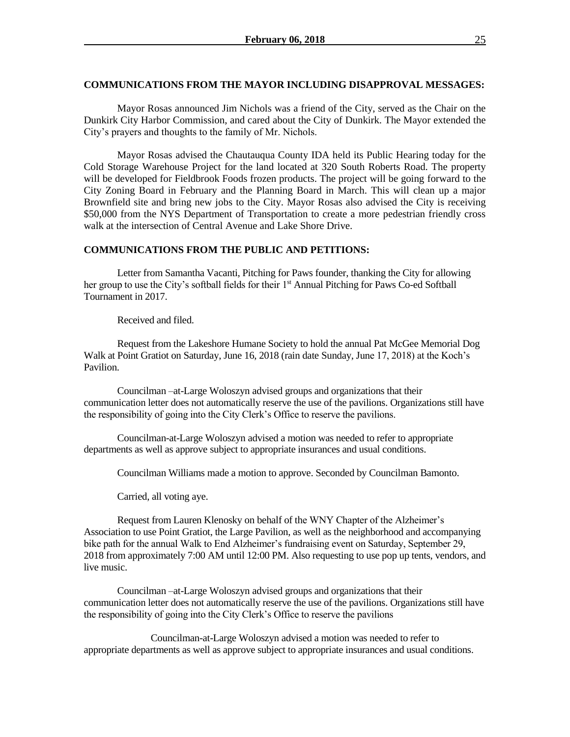#### **COMMUNICATIONS FROM THE MAYOR INCLUDING DISAPPROVAL MESSAGES:**

Mayor Rosas announced Jim Nichols was a friend of the City, served as the Chair on the Dunkirk City Harbor Commission, and cared about the City of Dunkirk. The Mayor extended the City's prayers and thoughts to the family of Mr. Nichols.

Mayor Rosas advised the Chautauqua County IDA held its Public Hearing today for the Cold Storage Warehouse Project for the land located at 320 South Roberts Road. The property will be developed for Fieldbrook Foods frozen products. The project will be going forward to the City Zoning Board in February and the Planning Board in March. This will clean up a major Brownfield site and bring new jobs to the City. Mayor Rosas also advised the City is receiving \$50,000 from the NYS Department of Transportation to create a more pedestrian friendly cross walk at the intersection of Central Avenue and Lake Shore Drive.

#### **COMMUNICATIONS FROM THE PUBLIC AND PETITIONS:**

Letter from Samantha Vacanti, Pitching for Paws founder, thanking the City for allowing her group to use the City's softball fields for their 1<sup>st</sup> Annual Pitching for Paws Co-ed Softball Tournament in 2017.

Received and filed.

Request from the Lakeshore Humane Society to hold the annual Pat McGee Memorial Dog Walk at Point Gratiot on Saturday, June 16, 2018 (rain date Sunday, June 17, 2018) at the Koch's Pavilion.

Councilman –at-Large Woloszyn advised groups and organizations that their communication letter does not automatically reserve the use of the pavilions. Organizations still have the responsibility of going into the City Clerk's Office to reserve the pavilions.

Councilman-at-Large Woloszyn advised a motion was needed to refer to appropriate departments as well as approve subject to appropriate insurances and usual conditions.

Councilman Williams made a motion to approve. Seconded by Councilman Bamonto.

Carried, all voting aye.

Request from Lauren Klenosky on behalf of the WNY Chapter of the Alzheimer's Association to use Point Gratiot, the Large Pavilion, as well as the neighborhood and accompanying bike path for the annual Walk to End Alzheimer's fundraising event on Saturday, September 29, 2018 from approximately 7:00 AM until 12:00 PM. Also requesting to use pop up tents, vendors, and live music.

Councilman –at-Large Woloszyn advised groups and organizations that their communication letter does not automatically reserve the use of the pavilions. Organizations still have the responsibility of going into the City Clerk's Office to reserve the pavilions

Councilman-at-Large Woloszyn advised a motion was needed to refer to appropriate departments as well as approve subject to appropriate insurances and usual conditions.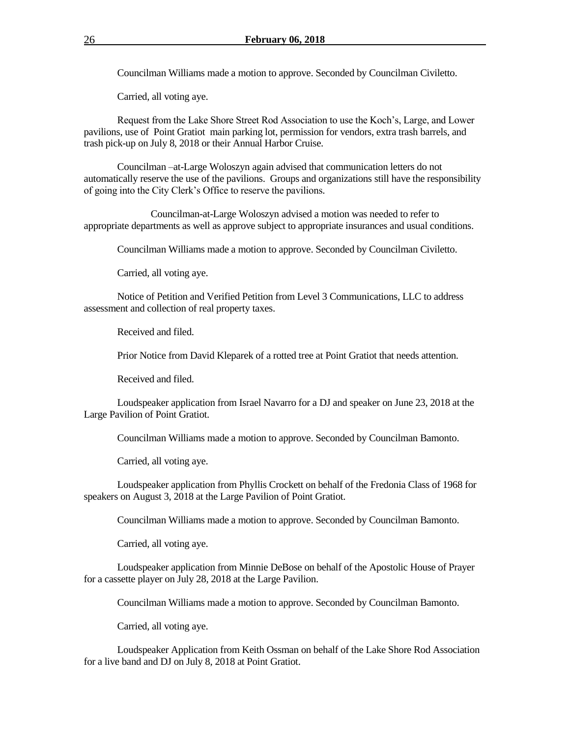Councilman Williams made a motion to approve. Seconded by Councilman Civiletto.

Carried, all voting aye.

Request from the Lake Shore Street Rod Association to use the Koch's, Large, and Lower pavilions, use of Point Gratiot main parking lot, permission for vendors, extra trash barrels, and trash pick-up on July 8, 2018 or their Annual Harbor Cruise.

Councilman –at-Large Woloszyn again advised that communication letters do not automatically reserve the use of the pavilions. Groups and organizations still have the responsibility of going into the City Clerk's Office to reserve the pavilions.

Councilman-at-Large Woloszyn advised a motion was needed to refer to appropriate departments as well as approve subject to appropriate insurances and usual conditions.

Councilman Williams made a motion to approve. Seconded by Councilman Civiletto.

Carried, all voting aye.

Notice of Petition and Verified Petition from Level 3 Communications, LLC to address assessment and collection of real property taxes.

Received and filed.

Prior Notice from David Kleparek of a rotted tree at Point Gratiot that needs attention.

Received and filed.

Loudspeaker application from Israel Navarro for a DJ and speaker on June 23, 2018 at the Large Pavilion of Point Gratiot.

Councilman Williams made a motion to approve. Seconded by Councilman Bamonto.

Carried, all voting aye.

Loudspeaker application from Phyllis Crockett on behalf of the Fredonia Class of 1968 for speakers on August 3, 2018 at the Large Pavilion of Point Gratiot.

Councilman Williams made a motion to approve. Seconded by Councilman Bamonto.

Carried, all voting aye.

Loudspeaker application from Minnie DeBose on behalf of the Apostolic House of Prayer for a cassette player on July 28, 2018 at the Large Pavilion.

Councilman Williams made a motion to approve. Seconded by Councilman Bamonto.

Carried, all voting aye.

Loudspeaker Application from Keith Ossman on behalf of the Lake Shore Rod Association for a live band and DJ on July 8, 2018 at Point Gratiot.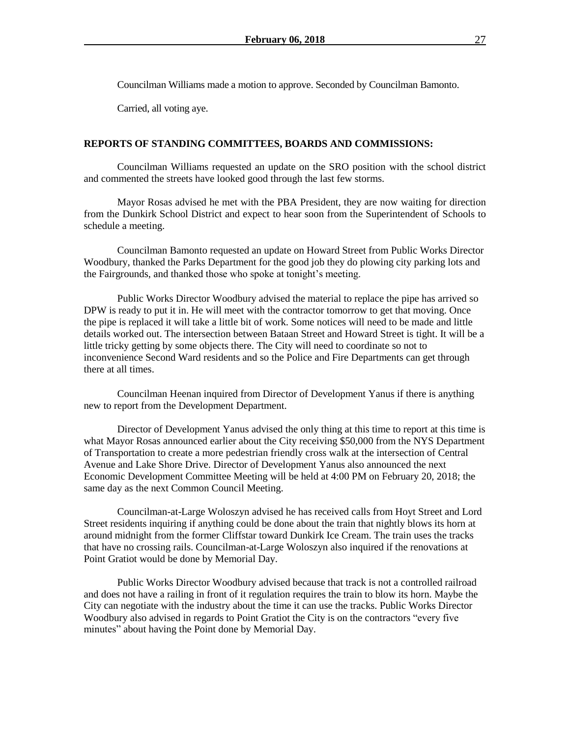Councilman Williams made a motion to approve. Seconded by Councilman Bamonto.

Carried, all voting aye.

#### **REPORTS OF STANDING COMMITTEES, BOARDS AND COMMISSIONS:**

Councilman Williams requested an update on the SRO position with the school district and commented the streets have looked good through the last few storms.

Mayor Rosas advised he met with the PBA President, they are now waiting for direction from the Dunkirk School District and expect to hear soon from the Superintendent of Schools to schedule a meeting.

Councilman Bamonto requested an update on Howard Street from Public Works Director Woodbury, thanked the Parks Department for the good job they do plowing city parking lots and the Fairgrounds, and thanked those who spoke at tonight's meeting.

Public Works Director Woodbury advised the material to replace the pipe has arrived so DPW is ready to put it in. He will meet with the contractor tomorrow to get that moving. Once the pipe is replaced it will take a little bit of work. Some notices will need to be made and little details worked out. The intersection between Bataan Street and Howard Street is tight. It will be a little tricky getting by some objects there. The City will need to coordinate so not to inconvenience Second Ward residents and so the Police and Fire Departments can get through there at all times.

Councilman Heenan inquired from Director of Development Yanus if there is anything new to report from the Development Department.

Director of Development Yanus advised the only thing at this time to report at this time is what Mayor Rosas announced earlier about the City receiving \$50,000 from the NYS Department of Transportation to create a more pedestrian friendly cross walk at the intersection of Central Avenue and Lake Shore Drive. Director of Development Yanus also announced the next Economic Development Committee Meeting will be held at 4:00 PM on February 20, 2018; the same day as the next Common Council Meeting.

Councilman-at-Large Woloszyn advised he has received calls from Hoyt Street and Lord Street residents inquiring if anything could be done about the train that nightly blows its horn at around midnight from the former Cliffstar toward Dunkirk Ice Cream. The train uses the tracks that have no crossing rails. Councilman-at-Large Woloszyn also inquired if the renovations at Point Gratiot would be done by Memorial Day.

Public Works Director Woodbury advised because that track is not a controlled railroad and does not have a railing in front of it regulation requires the train to blow its horn. Maybe the City can negotiate with the industry about the time it can use the tracks. Public Works Director Woodbury also advised in regards to Point Gratiot the City is on the contractors "every five minutes" about having the Point done by Memorial Day.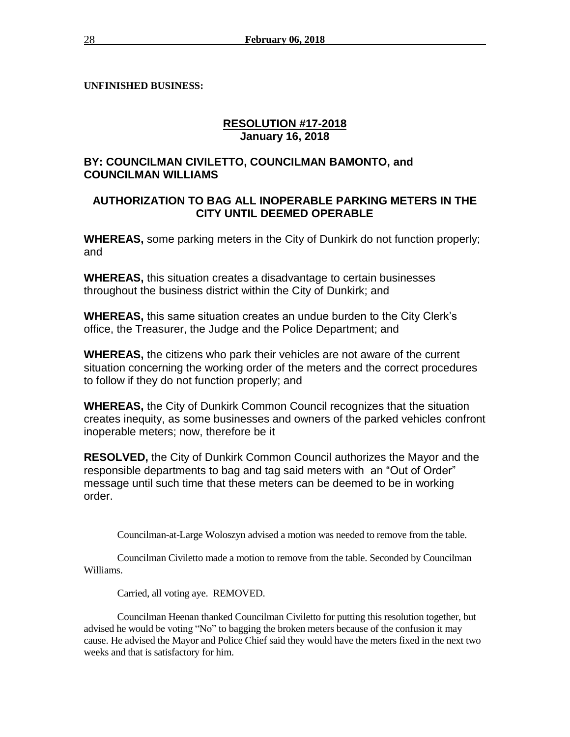**UNFINISHED BUSINESS:** 

# **RESOLUTION #17-2018 January 16, 2018**

# **BY: COUNCILMAN CIVILETTO, COUNCILMAN BAMONTO, and COUNCILMAN WILLIAMS**

# **AUTHORIZATION TO BAG ALL INOPERABLE PARKING METERS IN THE CITY UNTIL DEEMED OPERABLE**

**WHEREAS,** some parking meters in the City of Dunkirk do not function properly; and

**WHEREAS,** this situation creates a disadvantage to certain businesses throughout the business district within the City of Dunkirk; and

**WHEREAS,** this same situation creates an undue burden to the City Clerk's office, the Treasurer, the Judge and the Police Department; and

**WHEREAS,** the citizens who park their vehicles are not aware of the current situation concerning the working order of the meters and the correct procedures to follow if they do not function properly; and

**WHEREAS,** the City of Dunkirk Common Council recognizes that the situation creates inequity, as some businesses and owners of the parked vehicles confront inoperable meters; now, therefore be it

**RESOLVED,** the City of Dunkirk Common Council authorizes the Mayor and the responsible departments to bag and tag said meters with an "Out of Order" message until such time that these meters can be deemed to be in working order.

Councilman-at-Large Woloszyn advised a motion was needed to remove from the table.

Councilman Civiletto made a motion to remove from the table. Seconded by Councilman Williams.

Carried, all voting aye. REMOVED.

Councilman Heenan thanked Councilman Civiletto for putting this resolution together, but advised he would be voting "No" to bagging the broken meters because of the confusion it may cause. He advised the Mayor and Police Chief said they would have the meters fixed in the next two weeks and that is satisfactory for him.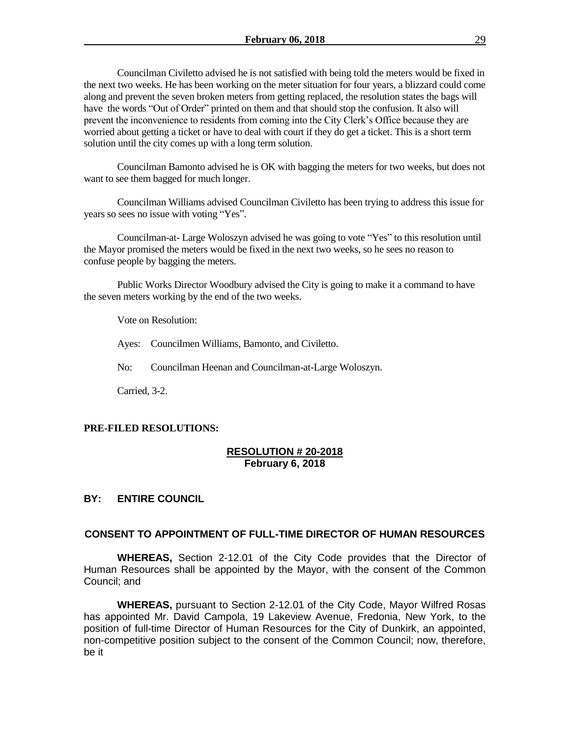Councilman Civiletto advised he is not satisfied with being told the meters would be fixed in the next two weeks. He has been working on the meter situation for four years, a blizzard could come along and prevent the seven broken meters from getting replaced, the resolution states the bags will have the words "Out of Order" printed on them and that should stop the confusion. It also will prevent the inconvenience to residents from coming into the City Clerk's Office because they are worried about getting a ticket or have to deal with court if they do get a ticket. This is a short term solution until the city comes up with a long term solution.

Councilman Bamonto advised he is OK with bagging the meters for two weeks, but does not want to see them bagged for much longer.

Councilman Williams advised Councilman Civiletto has been trying to address this issue for years so sees no issue with voting "Yes".

Councilman-at- Large Woloszyn advised he was going to vote "Yes" to this resolution until the Mayor promised the meters would be fixed in the next two weeks, so he sees no reason to confuse people by bagging the meters.

Public Works Director Woodbury advised the City is going to make it a command to have the seven meters working by the end of the two weeks.

Vote on Resolution:

Ayes: Councilmen Williams, Bamonto, and Civiletto.

No: Councilman Heenan and Councilman-at-Large Woloszyn.

Carried, 3-2.

#### **PRE-FILED RESOLUTIONS:**

#### **RESOLUTION # 20-2018 February 6, 2018**

#### **BY: ENTIRE COUNCIL**

#### **CONSENT TO APPOINTMENT OF FULL-TIME DIRECTOR OF HUMAN RESOURCES**

**WHEREAS,** Section 2-12.01 of the City Code provides that the Director of Human Resources shall be appointed by the Mayor, with the consent of the Common Council; and

**WHEREAS,** pursuant to Section 2-12.01 of the City Code, Mayor Wilfred Rosas has appointed Mr. David Campola, 19 Lakeview Avenue, Fredonia, New York, to the position of full-time Director of Human Resources for the City of Dunkirk, an appointed, non-competitive position subject to the consent of the Common Council; now, therefore, be it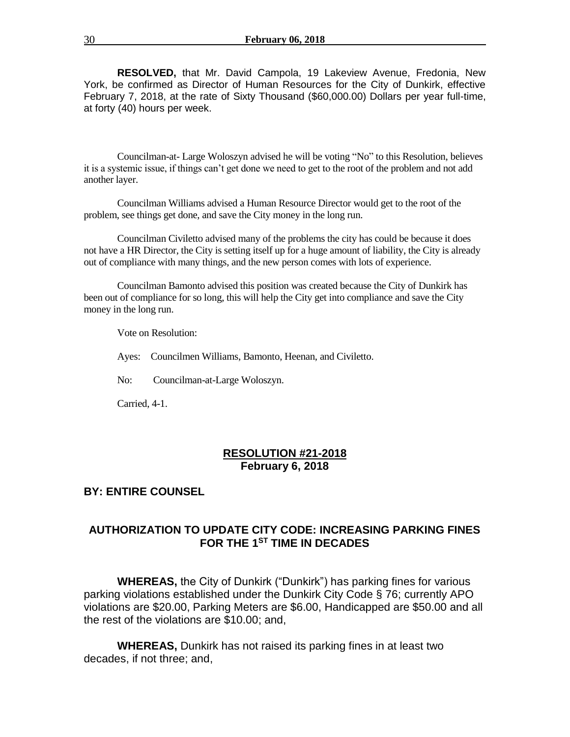**RESOLVED,** that Mr. David Campola, 19 Lakeview Avenue, Fredonia, New York, be confirmed as Director of Human Resources for the City of Dunkirk, effective February 7, 2018, at the rate of Sixty Thousand (\$60,000.00) Dollars per year full-time, at forty (40) hours per week.

Councilman-at- Large Woloszyn advised he will be voting "No" to this Resolution, believes it is a systemic issue, if things can't get done we need to get to the root of the problem and not add another layer.

Councilman Williams advised a Human Resource Director would get to the root of the problem, see things get done, and save the City money in the long run.

Councilman Civiletto advised many of the problems the city has could be because it does not have a HR Director, the City is setting itself up for a huge amount of liability, the City is already out of compliance with many things, and the new person comes with lots of experience.

Councilman Bamonto advised this position was created because the City of Dunkirk has been out of compliance for so long, this will help the City get into compliance and save the City money in the long run.

Vote on Resolution:

Ayes: Councilmen Williams, Bamonto, Heenan, and Civiletto.

No: Councilman-at-Large Woloszyn.

Carried, 4-1.

#### **RESOLUTION #21-2018 February 6, 2018**

# **BY: ENTIRE COUNSEL**

# **AUTHORIZATION TO UPDATE CITY CODE: INCREASING PARKING FINES FOR THE 1ST TIME IN DECADES**

**WHEREAS,** the City of Dunkirk ("Dunkirk") has parking fines for various parking violations established under the Dunkirk City Code § 76; currently APO violations are \$20.00, Parking Meters are \$6.00, Handicapped are \$50.00 and all the rest of the violations are \$10.00; and,

**WHEREAS,** Dunkirk has not raised its parking fines in at least two decades, if not three; and,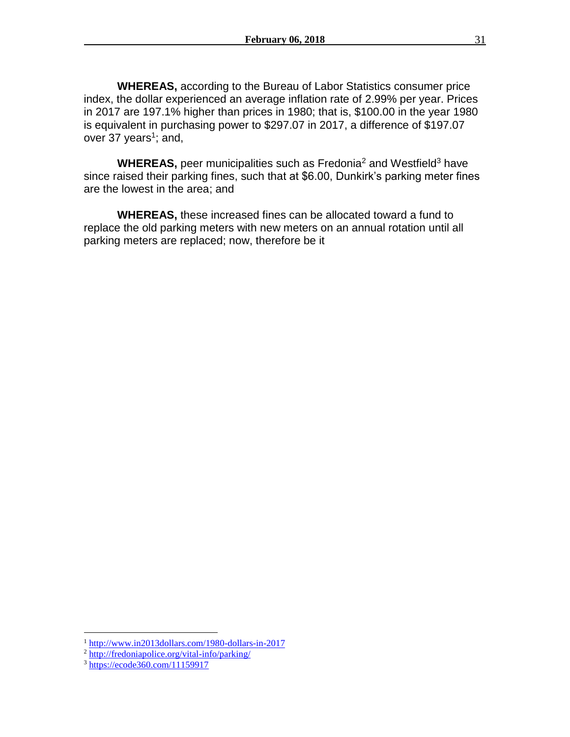**WHEREAS,** according to the Bureau of Labor Statistics consumer price index, the dollar experienced an average inflation rate of 2.99% per year. Prices in 2017 are 197.1% higher than prices in 1980; that is, \$100.00 in the year 1980 is equivalent in purchasing power to \$297.07 in 2017, a difference of \$197.07 over 37 years<sup>1</sup>; and,

**WHEREAS, peer municipalities such as Fredonia<sup>2</sup> and Westfield<sup>3</sup> have** since raised their parking fines, such that at \$6.00, Dunkirk's parking meter fines are the lowest in the area; and

**WHEREAS,** these increased fines can be allocated toward a fund to replace the old parking meters with new meters on an annual rotation until all parking meters are replaced; now, therefore be it

 $\overline{a}$ 

<sup>1</sup> <http://www.in2013dollars.com/1980-dollars-in-2017>

<sup>&</sup>lt;sup>2</sup> <http://fredoniapolice.org/vital-info/parking/>

<sup>&</sup>lt;sup>3</sup> <https://ecode360.com/11159917>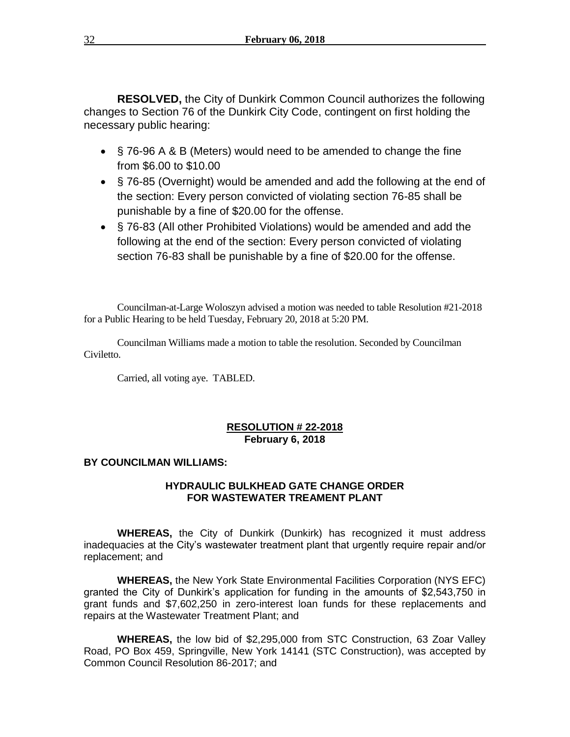**RESOLVED,** the City of Dunkirk Common Council authorizes the following changes to Section 76 of the Dunkirk City Code, contingent on first holding the necessary public hearing:

- § 76-96 A & B (Meters) would need to be amended to change the fine from \$6.00 to \$10.00
- § 76-85 (Overnight) would be amended and add the following at the end of the section: Every person convicted of violating section 76-85 shall be punishable by a fine of \$20.00 for the offense.
- § 76-83 (All other Prohibited Violations) would be amended and add the following at the end of the section: Every person convicted of violating section 76-83 shall be punishable by a fine of \$20.00 for the offense.

Councilman-at-Large Woloszyn advised a motion was needed to table Resolution #21-2018 for a Public Hearing to be held Tuesday, February 20, 2018 at 5:20 PM.

Councilman Williams made a motion to table the resolution. Seconded by Councilman Civiletto.

Carried, all voting aye. TABLED.

## **RESOLUTION # 22-2018 February 6, 2018**

# **BY COUNCILMAN WILLIAMS:**

# **HYDRAULIC BULKHEAD GATE CHANGE ORDER FOR WASTEWATER TREAMENT PLANT**

**WHEREAS,** the City of Dunkirk (Dunkirk) has recognized it must address inadequacies at the City's wastewater treatment plant that urgently require repair and/or replacement; and

**WHEREAS,** the New York State Environmental Facilities Corporation (NYS EFC) granted the City of Dunkirk's application for funding in the amounts of \$2,543,750 in grant funds and \$7,602,250 in zero-interest loan funds for these replacements and repairs at the Wastewater Treatment Plant; and

**WHEREAS,** the low bid of \$2,295,000 from STC Construction, 63 Zoar Valley Road, PO Box 459, Springville, New York 14141 (STC Construction), was accepted by Common Council Resolution 86-2017; and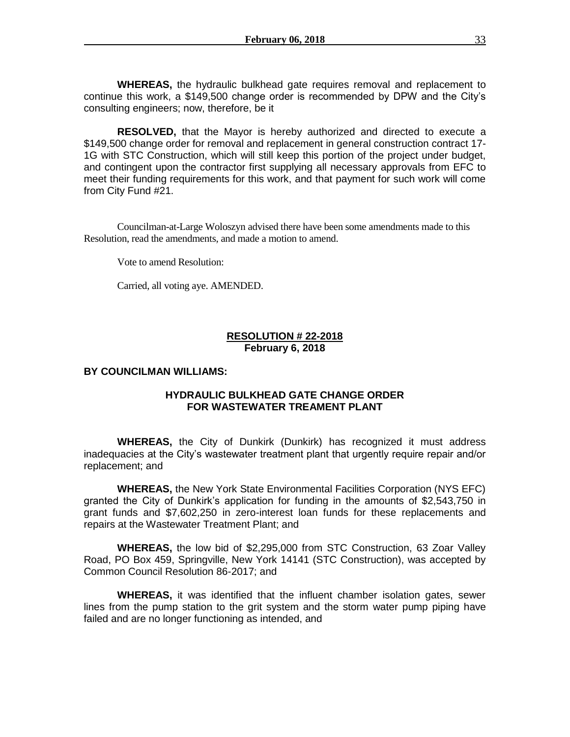**WHEREAS,** the hydraulic bulkhead gate requires removal and replacement to continue this work, a \$149,500 change order is recommended by DPW and the City's consulting engineers; now, therefore, be it

**RESOLVED,** that the Mayor is hereby authorized and directed to execute a \$149,500 change order for removal and replacement in general construction contract 17- 1G with STC Construction, which will still keep this portion of the project under budget, and contingent upon the contractor first supplying all necessary approvals from EFC to meet their funding requirements for this work, and that payment for such work will come from City Fund #21.

Councilman-at-Large Woloszyn advised there have been some amendments made to this Resolution, read the amendments, and made a motion to amend.

Vote to amend Resolution:

Carried, all voting aye. AMENDED.

#### **RESOLUTION # 22-2018 February 6, 2018**

#### **BY COUNCILMAN WILLIAMS:**

## **HYDRAULIC BULKHEAD GATE CHANGE ORDER FOR WASTEWATER TREAMENT PLANT**

**WHEREAS,** the City of Dunkirk (Dunkirk) has recognized it must address inadequacies at the City's wastewater treatment plant that urgently require repair and/or replacement; and

**WHEREAS,** the New York State Environmental Facilities Corporation (NYS EFC) granted the City of Dunkirk's application for funding in the amounts of \$2,543,750 in grant funds and \$7,602,250 in zero-interest loan funds for these replacements and repairs at the Wastewater Treatment Plant; and

**WHEREAS,** the low bid of \$2,295,000 from STC Construction, 63 Zoar Valley Road, PO Box 459, Springville, New York 14141 (STC Construction), was accepted by Common Council Resolution 86-2017; and

**WHEREAS,** it was identified that the influent chamber isolation gates, sewer lines from the pump station to the grit system and the storm water pump piping have failed and are no longer functioning as intended, and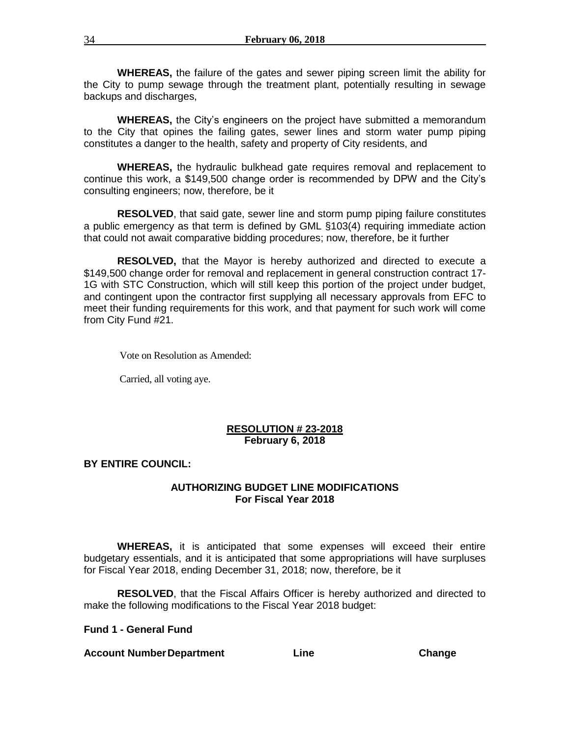**WHEREAS,** the failure of the gates and sewer piping screen limit the ability for the City to pump sewage through the treatment plant, potentially resulting in sewage backups and discharges,

**WHEREAS,** the City's engineers on the project have submitted a memorandum to the City that opines the failing gates, sewer lines and storm water pump piping constitutes a danger to the health, safety and property of City residents, and

**WHEREAS,** the hydraulic bulkhead gate requires removal and replacement to continue this work, a \$149,500 change order is recommended by DPW and the City's consulting engineers; now, therefore, be it

**RESOLVED**, that said gate, sewer line and storm pump piping failure constitutes a public emergency as that term is defined by GML §103(4) requiring immediate action that could not await comparative bidding procedures; now, therefore, be it further

**RESOLVED,** that the Mayor is hereby authorized and directed to execute a \$149,500 change order for removal and replacement in general construction contract 17- 1G with STC Construction, which will still keep this portion of the project under budget, and contingent upon the contractor first supplying all necessary approvals from EFC to meet their funding requirements for this work, and that payment for such work will come from City Fund #21.

Vote on Resolution as Amended:

Carried, all voting aye.

#### **RESOLUTION # 23-2018 February 6, 2018**

#### **BY ENTIRE COUNCIL:**

# **AUTHORIZING BUDGET LINE MODIFICATIONS For Fiscal Year 2018**

**WHEREAS,** it is anticipated that some expenses will exceed their entire budgetary essentials, and it is anticipated that some appropriations will have surpluses for Fiscal Year 2018, ending December 31, 2018; now, therefore, be it

**RESOLVED**, that the Fiscal Affairs Officer is hereby authorized and directed to make the following modifications to the Fiscal Year 2018 budget:

**Fund 1 - General Fund**

#### **Account NumberDepartment Line Change**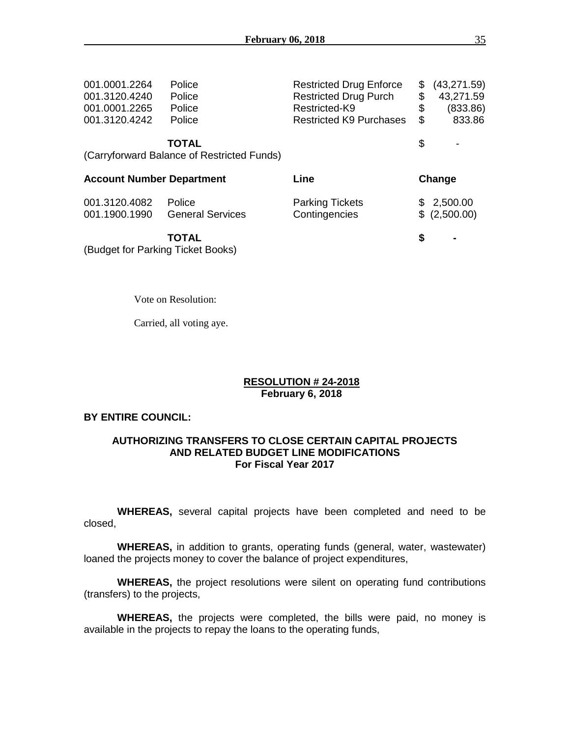| 001.0001.2264<br>001.3120.4240<br>001.0001.2265 | Police<br>Police<br>Police                                           | <b>Restricted Drug Enforce</b><br><b>Restricted Drug Purch</b><br>Restricted-K9 | \$<br>\$<br>\$ | (43, 271.59)<br>43,271.59<br>(833.86) |  |
|-------------------------------------------------|----------------------------------------------------------------------|---------------------------------------------------------------------------------|----------------|---------------------------------------|--|
| 001.3120.4242                                   | Police<br><b>TOTAL</b><br>(Carryforward Balance of Restricted Funds) | <b>Restricted K9 Purchases</b>                                                  | \$<br>\$       | 833.86                                |  |
| <b>Account Number Department</b>                |                                                                      | Line                                                                            |                | Change                                |  |
| 001.3120.4082<br>001.1900.1990                  | Police<br><b>General Services</b>                                    | <b>Parking Tickets</b><br>Contingencies                                         |                | \$2,500.00<br>\$(2,500.00)            |  |
|                                                 | <b>TOTAL</b>                                                         |                                                                                 | S              |                                       |  |

Vote on Resolution:

Carried, all voting aye.

#### **RESOLUTION # 24-2018 February 6, 2018**

#### **BY ENTIRE COUNCIL:**

### **AUTHORIZING TRANSFERS TO CLOSE CERTAIN CAPITAL PROJECTS AND RELATED BUDGET LINE MODIFICATIONS For Fiscal Year 2017**

**WHEREAS,** several capital projects have been completed and need to be closed,

**WHEREAS,** in addition to grants, operating funds (general, water, wastewater) loaned the projects money to cover the balance of project expenditures,

**WHEREAS,** the project resolutions were silent on operating fund contributions (transfers) to the projects,

**WHEREAS,** the projects were completed, the bills were paid, no money is available in the projects to repay the loans to the operating funds,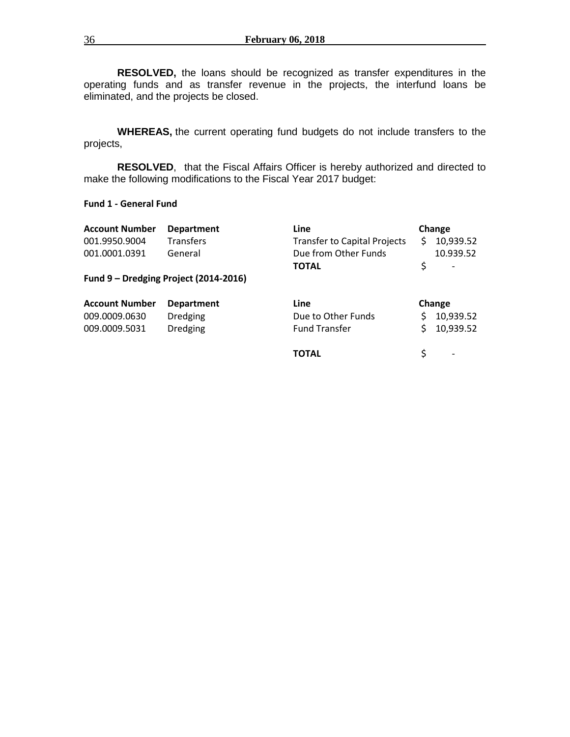**RESOLVED,** the loans should be recognized as transfer expenditures in the operating funds and as transfer revenue in the projects, the interfund loans be eliminated, and the projects be closed.

**WHEREAS,** the current operating fund budgets do not include transfers to the projects,

**RESOLVED**, that the Fiscal Affairs Officer is hereby authorized and directed to make the following modifications to the Fiscal Year 2017 budget:

#### **Fund 1 - General Fund**

| <b>Account Number</b>                                   | <b>Department</b>                     | <b>Line</b>                         | Change |                          |
|---------------------------------------------------------|---------------------------------------|-------------------------------------|--------|--------------------------|
| 001.9950.9004                                           | <b>Transfers</b>                      | <b>Transfer to Capital Projects</b> | Ś      | 10,939.52                |
| 001.0001.0391                                           | General                               | Due from Other Funds                |        | 10.939.52                |
|                                                         |                                       | <b>TOTAL</b>                        | \$     | $\overline{\phantom{a}}$ |
|                                                         | Fund 9 - Dredging Project (2014-2016) |                                     |        |                          |
|                                                         |                                       |                                     | Change |                          |
|                                                         | <b>Department</b>                     | Line                                |        |                          |
|                                                         | <b>Dredging</b>                       | Due to Other Funds                  |        | 10,939.52                |
| <b>Account Number</b><br>009.0009.0630<br>009.0009.5031 | <b>Dredging</b>                       | <b>Fund Transfer</b>                | Ś      | 10,939.52                |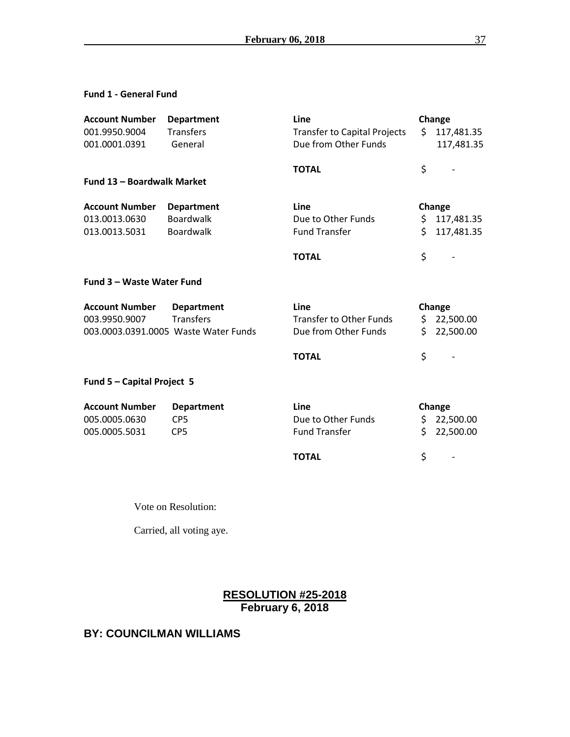### **Fund 1 - General Fund**

| <b>Account Number</b>             | <b>Department</b>                    | Line                                | Change |            |
|-----------------------------------|--------------------------------------|-------------------------------------|--------|------------|
| 001.9950.9004                     | <b>Transfers</b>                     | <b>Transfer to Capital Projects</b> | Ś.     | 117,481.35 |
| 001.0001.0391                     | General                              | Due from Other Funds                |        | 117,481.35 |
|                                   |                                      |                                     |        |            |
| <b>Fund 13 - Boardwalk Market</b> |                                      | <b>TOTAL</b>                        | \$     |            |
|                                   |                                      |                                     |        |            |
| <b>Account Number</b>             | <b>Department</b>                    | Line                                | Change |            |
| 013.0013.0630                     | Boardwalk                            | Due to Other Funds                  | \$.    | 117,481.35 |
| 013.0013.5031                     | <b>Boardwalk</b>                     | <b>Fund Transfer</b>                | Ś.     | 117,481.35 |
|                                   |                                      | <b>TOTAL</b>                        | \$     |            |
| <b>Fund 3 - Waste Water Fund</b>  |                                      |                                     |        |            |
| <b>Account Number</b>             | <b>Department</b>                    | Line                                | Change |            |
| 003.9950.9007                     | <b>Transfers</b>                     | <b>Transfer to Other Funds</b>      | \$     | 22,500.00  |
|                                   | 003.0003.0391.0005 Waste Water Funds | Due from Other Funds                | Ś.     | 22,500.00  |
|                                   |                                      | <b>TOTAL</b>                        | \$     |            |
| Fund 5 - Capital Project 5        |                                      |                                     |        |            |
| <b>Account Number</b>             | <b>Department</b>                    | Line                                |        | Change     |
| 005.0005.0630                     | CP <sub>5</sub>                      | Due to Other Funds                  | \$.    | 22,500.00  |
| 005.0005.5031                     | CP <sub>5</sub>                      | <b>Fund Transfer</b>                | Ś.     | 22,500.00  |
|                                   |                                      | <b>TOTAL</b>                        | \$     |            |
|                                   |                                      |                                     |        |            |

Vote on Resolution:

Carried, all voting aye.

# **RESOLUTION #25-2018 February 6, 2018**

# **BY: COUNCILMAN WILLIAMS**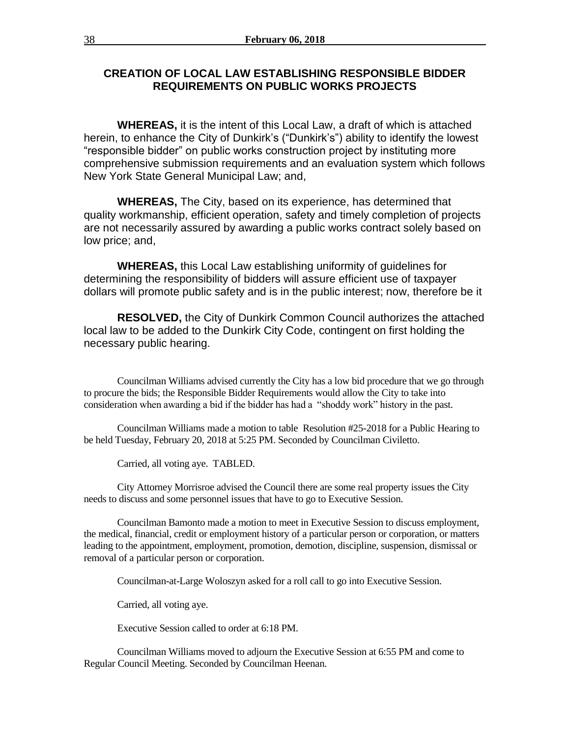# **CREATION OF LOCAL LAW ESTABLISHING RESPONSIBLE BIDDER REQUIREMENTS ON PUBLIC WORKS PROJECTS**

**WHEREAS,** it is the intent of this Local Law, a draft of which is attached herein, to enhance the City of Dunkirk's ("Dunkirk's") ability to identify the lowest "responsible bidder" on public works construction project by instituting more comprehensive submission requirements and an evaluation system which follows New York State General Municipal Law; and,

**WHEREAS,** The City, based on its experience, has determined that quality workmanship, efficient operation, safety and timely completion of projects are not necessarily assured by awarding a public works contract solely based on low price; and,

**WHEREAS,** this Local Law establishing uniformity of guidelines for determining the responsibility of bidders will assure efficient use of taxpayer dollars will promote public safety and is in the public interest; now, therefore be it

**RESOLVED,** the City of Dunkirk Common Council authorizes the attached local law to be added to the Dunkirk City Code, contingent on first holding the necessary public hearing.

Councilman Williams advised currently the City has a low bid procedure that we go through to procure the bids; the Responsible Bidder Requirements would allow the City to take into consideration when awarding a bid if the bidder has had a "shoddy work" history in the past.

Councilman Williams made a motion to table Resolution #25-2018 for a Public Hearing to be held Tuesday, February 20, 2018 at 5:25 PM. Seconded by Councilman Civiletto.

Carried, all voting aye. TABLED.

City Attorney Morrisroe advised the Council there are some real property issues the City needs to discuss and some personnel issues that have to go to Executive Session.

Councilman Bamonto made a motion to meet in Executive Session to discuss employment, the medical, financial, credit or employment history of a particular person or corporation, or matters leading to the appointment, employment, promotion, demotion, discipline, suspension, dismissal or removal of a particular person or corporation.

Councilman-at-Large Woloszyn asked for a roll call to go into Executive Session.

Carried, all voting aye.

Executive Session called to order at 6:18 PM.

Councilman Williams moved to adjourn the Executive Session at 6:55 PM and come to Regular Council Meeting. Seconded by Councilman Heenan.